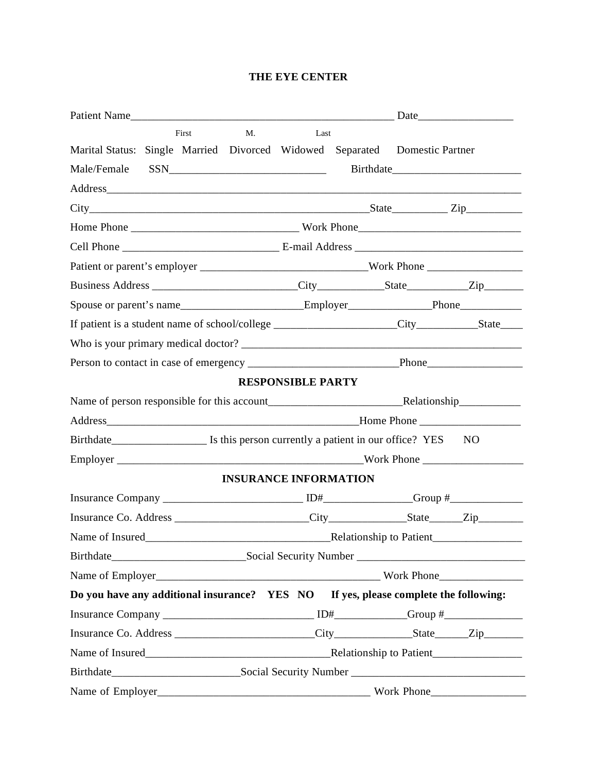## **THE EYE CENTER**

|                                                                                                          |                                                                            | First | M. | Last                         |                                                                                                      |  |                                                                                                                                                                                                                                                                                                                                                                                                               |  |
|----------------------------------------------------------------------------------------------------------|----------------------------------------------------------------------------|-------|----|------------------------------|------------------------------------------------------------------------------------------------------|--|---------------------------------------------------------------------------------------------------------------------------------------------------------------------------------------------------------------------------------------------------------------------------------------------------------------------------------------------------------------------------------------------------------------|--|
|                                                                                                          | Marital Status: Single Married Divorced Widowed Separated Domestic Partner |       |    |                              |                                                                                                      |  |                                                                                                                                                                                                                                                                                                                                                                                                               |  |
|                                                                                                          | Birthdate                                                                  |       |    |                              |                                                                                                      |  |                                                                                                                                                                                                                                                                                                                                                                                                               |  |
|                                                                                                          |                                                                            |       |    |                              |                                                                                                      |  |                                                                                                                                                                                                                                                                                                                                                                                                               |  |
|                                                                                                          |                                                                            |       |    |                              |                                                                                                      |  | $City$ $\qquad \qquad \qquad$ $\qquad \qquad$ $\qquad \qquad$ $\qquad \qquad$ $\qquad \qquad$ $\qquad \qquad$ $\qquad \qquad$ $\qquad \qquad$ $\qquad \qquad$ $\qquad \qquad$ $\qquad \qquad$ $\qquad \qquad$ $\qquad \qquad$ $\qquad \qquad$ $\qquad \qquad$ $\qquad \qquad$ $\qquad \qquad$ $\qquad \qquad$ $\qquad \qquad$ $\qquad \qquad$ $\qquad \qquad$ $\qquad \qquad$ $\qquad \qquad$ $\qquad \qquad$ |  |
|                                                                                                          |                                                                            |       |    |                              |                                                                                                      |  |                                                                                                                                                                                                                                                                                                                                                                                                               |  |
|                                                                                                          |                                                                            |       |    |                              |                                                                                                      |  |                                                                                                                                                                                                                                                                                                                                                                                                               |  |
|                                                                                                          |                                                                            |       |    |                              |                                                                                                      |  |                                                                                                                                                                                                                                                                                                                                                                                                               |  |
|                                                                                                          |                                                                            |       |    |                              |                                                                                                      |  |                                                                                                                                                                                                                                                                                                                                                                                                               |  |
|                                                                                                          |                                                                            |       |    |                              | Spouse or parent's name___________________________Employer________________Phone_____________________ |  |                                                                                                                                                                                                                                                                                                                                                                                                               |  |
|                                                                                                          |                                                                            |       |    |                              |                                                                                                      |  |                                                                                                                                                                                                                                                                                                                                                                                                               |  |
|                                                                                                          |                                                                            |       |    |                              |                                                                                                      |  |                                                                                                                                                                                                                                                                                                                                                                                                               |  |
|                                                                                                          |                                                                            |       |    |                              |                                                                                                      |  |                                                                                                                                                                                                                                                                                                                                                                                                               |  |
|                                                                                                          |                                                                            |       |    | <b>RESPONSIBLE PARTY</b>     |                                                                                                      |  |                                                                                                                                                                                                                                                                                                                                                                                                               |  |
|                                                                                                          |                                                                            |       |    |                              |                                                                                                      |  |                                                                                                                                                                                                                                                                                                                                                                                                               |  |
|                                                                                                          |                                                                            |       |    |                              |                                                                                                      |  |                                                                                                                                                                                                                                                                                                                                                                                                               |  |
| Birthdate <sub>__________________________</sub> Is this person currently a patient in our office? YES NO |                                                                            |       |    |                              |                                                                                                      |  |                                                                                                                                                                                                                                                                                                                                                                                                               |  |
|                                                                                                          |                                                                            |       |    |                              |                                                                                                      |  |                                                                                                                                                                                                                                                                                                                                                                                                               |  |
|                                                                                                          |                                                                            |       |    | <b>INSURANCE INFORMATION</b> |                                                                                                      |  |                                                                                                                                                                                                                                                                                                                                                                                                               |  |
|                                                                                                          |                                                                            |       |    |                              |                                                                                                      |  |                                                                                                                                                                                                                                                                                                                                                                                                               |  |
|                                                                                                          |                                                                            |       |    |                              |                                                                                                      |  |                                                                                                                                                                                                                                                                                                                                                                                                               |  |
|                                                                                                          |                                                                            |       |    |                              |                                                                                                      |  |                                                                                                                                                                                                                                                                                                                                                                                                               |  |
|                                                                                                          |                                                                            |       |    |                              |                                                                                                      |  |                                                                                                                                                                                                                                                                                                                                                                                                               |  |
|                                                                                                          |                                                                            |       |    |                              |                                                                                                      |  |                                                                                                                                                                                                                                                                                                                                                                                                               |  |
| Do you have any additional insurance? YES NO If yes, please complete the following:                      |                                                                            |       |    |                              |                                                                                                      |  |                                                                                                                                                                                                                                                                                                                                                                                                               |  |
|                                                                                                          |                                                                            |       |    |                              |                                                                                                      |  |                                                                                                                                                                                                                                                                                                                                                                                                               |  |
|                                                                                                          |                                                                            |       |    |                              |                                                                                                      |  |                                                                                                                                                                                                                                                                                                                                                                                                               |  |
|                                                                                                          |                                                                            |       |    |                              |                                                                                                      |  |                                                                                                                                                                                                                                                                                                                                                                                                               |  |
|                                                                                                          |                                                                            |       |    |                              |                                                                                                      |  |                                                                                                                                                                                                                                                                                                                                                                                                               |  |
|                                                                                                          |                                                                            |       |    | Work Phone                   |                                                                                                      |  |                                                                                                                                                                                                                                                                                                                                                                                                               |  |